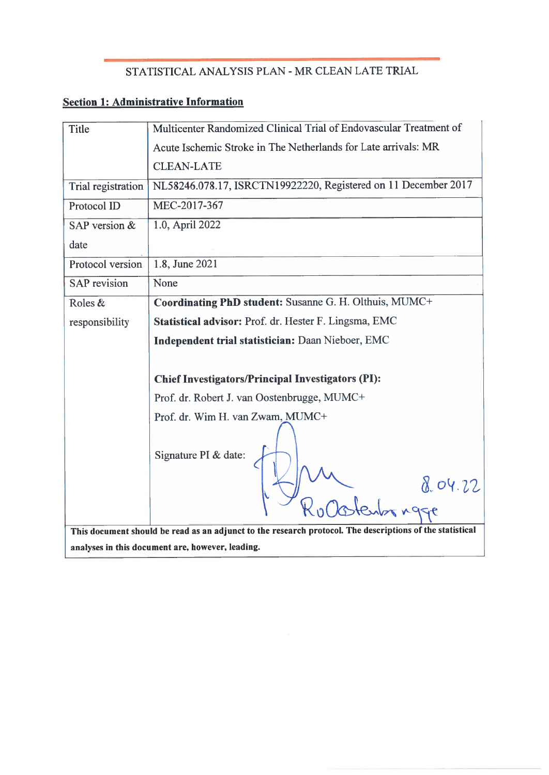# STATISTICAL ANALYSIS PLAN - MR CLEAN LATE TRIAL

# **Section 1: Administrative Information**

| Title                                                                                                    | Multicenter Randomized Clinical Trial of Endovascular Treatment of |
|----------------------------------------------------------------------------------------------------------|--------------------------------------------------------------------|
|                                                                                                          | Acute Ischemic Stroke in The Netherlands for Late arrivals: MR     |
|                                                                                                          | <b>CLEAN-LATE</b>                                                  |
| Trial registration                                                                                       | NL58246.078.17, ISRCTN19922220, Registered on 11 December 2017     |
| Protocol ID                                                                                              | MEC-2017-367                                                       |
| SAP version &                                                                                            | 1.0, April 2022                                                    |
| date                                                                                                     |                                                                    |
| Protocol version                                                                                         | 1.8, June 2021                                                     |
| <b>SAP</b> revision                                                                                      | None                                                               |
| Roles &                                                                                                  | Coordinating PhD student: Susanne G. H. Olthuis, MUMC+             |
| responsibility                                                                                           | Statistical advisor: Prof. dr. Hester F. Lingsma, EMC              |
|                                                                                                          | Independent trial statistician: Daan Nieboer, EMC                  |
|                                                                                                          |                                                                    |
|                                                                                                          | <b>Chief Investigators/Principal Investigators (PI):</b>           |
|                                                                                                          | Prof. dr. Robert J. van Oostenbrugge, MUMC+                        |
|                                                                                                          | Prof. dr. Wim H. van Zwam, MUMC+                                   |
|                                                                                                          | Signature PI & date:<br>8.04.22<br>Obstentor ngge                  |
|                                                                                                          |                                                                    |
| This document should be read as an adjunct to the research protocol. The descriptions of the statistical |                                                                    |
| analyses in this document are, however, leading.                                                         |                                                                    |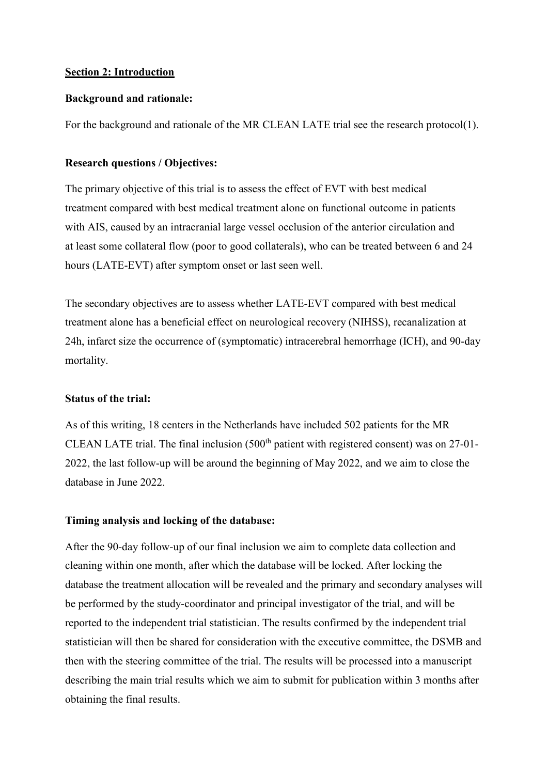## **Section 2: Introduction**

### **Background and rationale:**

For the background and rationale of the MR CLEAN LATE trial see the research protocol(1).

## **Research questions / Objectives:**

The primary objective of this trial is to assess the effect of EVT with best medical treatment compared with best medical treatment alone on functional outcome in patients with AIS, caused by an intracranial large vessel occlusion of the anterior circulation and at least some collateral flow (poor to good collaterals), who can be treated between 6 and 24 hours (LATE-EVT) after symptom onset or last seen well.

The secondary objectives are to assess whether LATE-EVT compared with best medical treatment alone has a beneficial effect on neurological recovery (NIHSS), recanalization at 24h, infarct size the occurrence of (symptomatic) intracerebral hemorrhage (ICH), and 90-day mortality.

# **Status of the trial:**

As of this writing, 18 centers in the Netherlands have included 502 patients for the MR CLEAN LATE trial. The final inclusion  $(500<sup>th</sup>$  patient with registered consent) was on 27-01-2022, the last follow-up will be around the beginning of May 2022, and we aim to close the database in June 2022.

# **Timing analysis and locking of the database:**

After the 90-day follow-up of our final inclusion we aim to complete data collection and cleaning within one month, after which the database will be locked. After locking the database the treatment allocation will be revealed and the primary and secondary analyses will be performed by the study-coordinator and principal investigator of the trial, and will be reported to the independent trial statistician. The results confirmed by the independent trial statistician will then be shared for consideration with the executive committee, the DSMB and then with the steering committee of the trial. The results will be processed into a manuscript describing the main trial results which we aim to submit for publication within 3 months after obtaining the final results.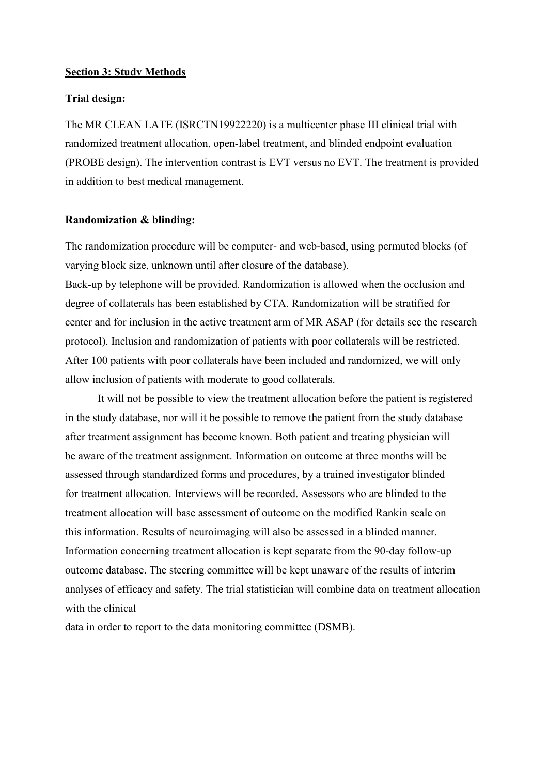#### **Section 3: Study Methods**

#### **Trial design:**

The MR CLEAN LATE (ISRCTN19922220) is a multicenter phase III clinical trial with randomized treatment allocation, open-label treatment, and blinded endpoint evaluation (PROBE design). The intervention contrast is EVT versus no EVT. The treatment is provided in addition to best medical management.

#### **Randomization & blinding:**

The randomization procedure will be computer- and web-based, using permuted blocks (of varying block size, unknown until after closure of the database).

Back-up by telephone will be provided. Randomization is allowed when the occlusion and degree of collaterals has been established by CTA. Randomization will be stratified for center and for inclusion in the active treatment arm of MR ASAP (for details see the research protocol). Inclusion and randomization of patients with poor collaterals will be restricted. After 100 patients with poor collaterals have been included and randomized, we will only allow inclusion of patients with moderate to good collaterals.

It will not be possible to view the treatment allocation before the patient is registered in the study database, nor will it be possible to remove the patient from the study database after treatment assignment has become known. Both patient and treating physician will be aware of the treatment assignment. Information on outcome at three months will be assessed through standardized forms and procedures, by a trained investigator blinded for treatment allocation. Interviews will be recorded. Assessors who are blinded to the treatment allocation will base assessment of outcome on the modified Rankin scale on this information. Results of neuroimaging will also be assessed in a blinded manner. Information concerning treatment allocation is kept separate from the 90-day follow-up outcome database. The steering committee will be kept unaware of the results of interim analyses of efficacy and safety. The trial statistician will combine data on treatment allocation with the clinical

data in order to report to the data monitoring committee (DSMB).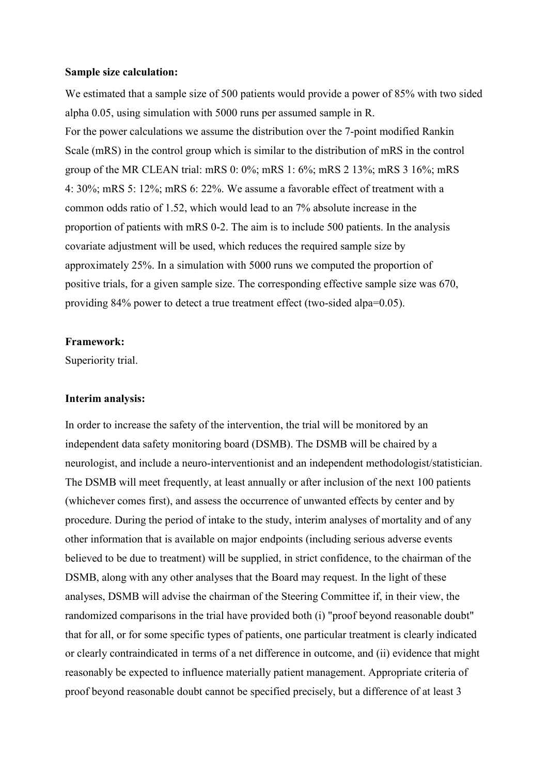#### **Sample size calculation:**

We estimated that a sample size of 500 patients would provide a power of 85% with two sided alpha 0.05, using simulation with 5000 runs per assumed sample in R. For the power calculations we assume the distribution over the 7-point modified Rankin Scale (mRS) in the control group which is similar to the distribution of mRS in the control group of the MR CLEAN trial: mRS 0: 0%; mRS 1: 6%; mRS 2 13%; mRS 3 16%; mRS 4: 30%; mRS 5: 12%; mRS 6: 22%. We assume a favorable effect of treatment with a common odds ratio of 1.52, which would lead to an 7% absolute increase in the proportion of patients with mRS 0-2. The aim is to include 500 patients. In the analysis covariate adjustment will be used, which reduces the required sample size by approximately 25%. In a simulation with 5000 runs we computed the proportion of positive trials, for a given sample size. The corresponding effective sample size was 670, providing 84% power to detect a true treatment effect (two-sided alpa=0.05).

#### **Framework:**

Superiority trial.

### **Interim analysis:**

In order to increase the safety of the intervention, the trial will be monitored by an independent data safety monitoring board (DSMB). The DSMB will be chaired by a neurologist, and include a neuro-interventionist and an independent methodologist/statistician. The DSMB will meet frequently, at least annually or after inclusion of the next 100 patients (whichever comes first), and assess the occurrence of unwanted effects by center and by procedure. During the period of intake to the study, interim analyses of mortality and of any other information that is available on major endpoints (including serious adverse events believed to be due to treatment) will be supplied, in strict confidence, to the chairman of the DSMB, along with any other analyses that the Board may request. In the light of these analyses, DSMB will advise the chairman of the Steering Committee if, in their view, the randomized comparisons in the trial have provided both (i) "proof beyond reasonable doubt" that for all, or for some specific types of patients, one particular treatment is clearly indicated or clearly contraindicated in terms of a net difference in outcome, and (ii) evidence that might reasonably be expected to influence materially patient management. Appropriate criteria of proof beyond reasonable doubt cannot be specified precisely, but a difference of at least 3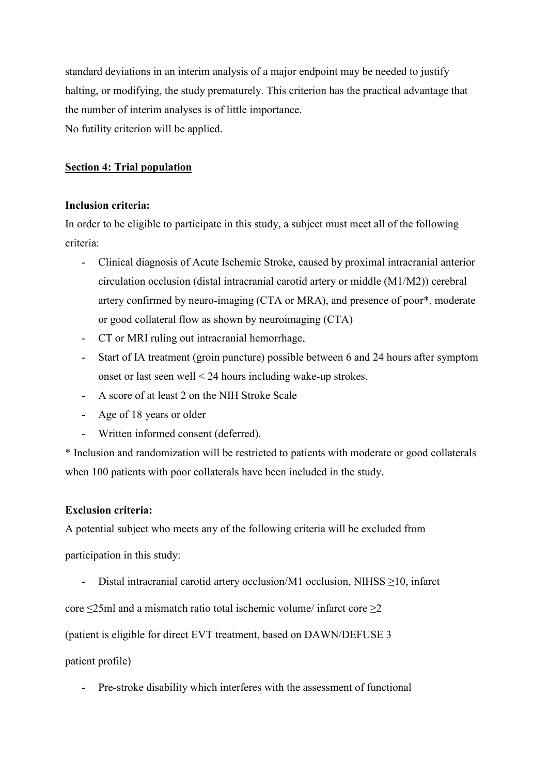standard deviations in an interim analysis of a major endpoint may be needed to justify halting, or modifying, the study prematurely. This criterion has the practical advantage that the number of interim analyses is of little importance. No futility criterion will be applied.

# **Section 4: Trial population**

## **Inclusion criteria:**

In order to be eligible to participate in this study, a subject must meet all of the following criteria:

- Clinical diagnosis of Acute Ischemic Stroke, caused by proximal intracranial anterior circulation occlusion (distal intracranial carotid artery or middle (M1/M2)) cerebral artery confirmed by neuro-imaging (CTA or MRA), and presence of poor\*, moderate or good collateral flow as shown by neuroimaging (CTA)
- CT or MRI ruling out intracranial hemorrhage,
- Start of IA treatment (groin puncture) possible between 6 and 24 hours after symptom onset or last seen well < 24 hours including wake-up strokes,
- A score of at least 2 on the NIH Stroke Scale
- Age of 18 years or older
- Written informed consent (deferred).

\* Inclusion and randomization will be restricted to patients with moderate or good collaterals when 100 patients with poor collaterals have been included in the study.

# **Exclusion criteria:**

A potential subject who meets any of the following criteria will be excluded from

participation in this study:

- Distal intracranial carotid artery occlusion/M1 occlusion, NIHSS ≥10, infarct

core ≤25ml and a mismatch ratio total ischemic volume/ infarct core ≥2

(patient is eligible for direct EVT treatment, based on DAWN/DEFUSE 3

patient profile)

- Pre-stroke disability which interferes with the assessment of functional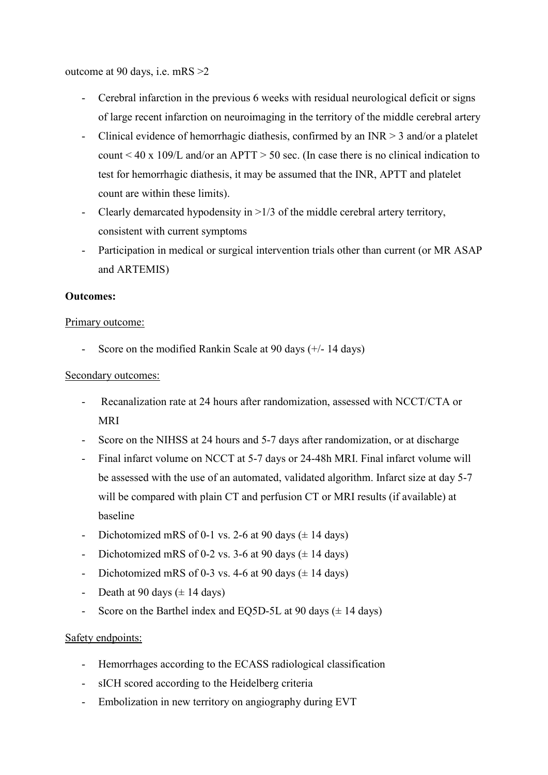outcome at 90 days, i.e. mRS >2

- Cerebral infarction in the previous 6 weeks with residual neurological deficit or signs of large recent infarction on neuroimaging in the territory of the middle cerebral artery
- Clinical evidence of hemorrhagic diathesis, confirmed by an INR  $> 3$  and/or a platelet count < 40 x 109/L and/or an APTT > 50 sec. (In case there is no clinical indication to test for hemorrhagic diathesis, it may be assumed that the INR, APTT and platelet count are within these limits).
- Clearly demarcated hypodensity in  $>1/3$  of the middle cerebral artery territory, consistent with current symptoms
- Participation in medical or surgical intervention trials other than current (or MR ASAP and ARTEMIS)

# **Outcomes:**

## Primary outcome:

- Score on the modified Rankin Scale at 90 days (+/- 14 days)

# Secondary outcomes:

- Recanalization rate at 24 hours after randomization, assessed with NCCT/CTA or MRI
- Score on the NIHSS at 24 hours and 5-7 days after randomization, or at discharge
- Final infarct volume on NCCT at 5-7 days or 24-48h MRI. Final infarct volume will be assessed with the use of an automated, validated algorithm. Infarct size at day 5-7 will be compared with plain CT and perfusion CT or MRI results (if available) at baseline
- Dichotomized mRS of 0-1 vs. 2-6 at 90 days  $(\pm 14$  days)
- Dichotomized mRS of 0-2 vs. 3-6 at 90 days  $(\pm 14 \text{ days})$
- Dichotomized mRS of 0-3 vs. 4-6 at 90 days  $(\pm 14 \text{ days})$
- Death at 90 days  $(\pm 14 \text{ days})$
- Score on the Barthel index and EQ5D-5L at 90 days  $(\pm 14 \text{ days})$

# Safety endpoints:

- Hemorrhages according to the ECASS radiological classification
- sICH scored according to the Heidelberg criteria
- Embolization in new territory on angiography during EVT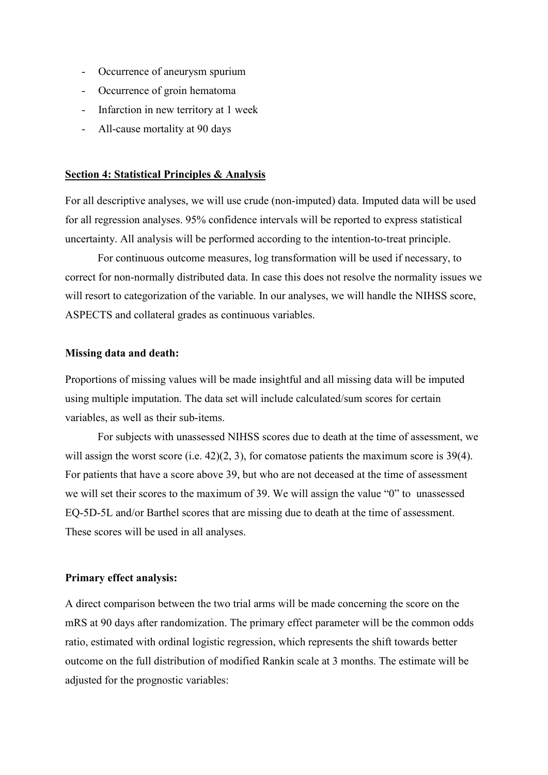- Occurrence of aneurysm spurium
- Occurrence of groin hematoma
- Infarction in new territory at 1 week
- All-cause mortality at 90 days

#### **Section 4: Statistical Principles & Analysis**

For all descriptive analyses, we will use crude (non-imputed) data. Imputed data will be used for all regression analyses. 95% confidence intervals will be reported to express statistical uncertainty. All analysis will be performed according to the intention-to-treat principle.

For continuous outcome measures, log transformation will be used if necessary, to correct for non-normally distributed data. In case this does not resolve the normality issues we will resort to categorization of the variable. In our analyses, we will handle the NIHSS score, ASPECTS and collateral grades as continuous variables.

#### **Missing data and death:**

Proportions of missing values will be made insightful and all missing data will be imputed using multiple imputation. The data set will include calculated/sum scores for certain variables, as well as their sub-items.

For subjects with unassessed NIHSS scores due to death at the time of assessment, we will assign the worst score (i.e. 42)(2, 3), for comatose patients the maximum score is 39(4). For patients that have a score above 39, but who are not deceased at the time of assessment we will set their scores to the maximum of 39. We will assign the value "0" to unassessed EQ-5D-5L and/or Barthel scores that are missing due to death at the time of assessment. These scores will be used in all analyses.

#### **Primary effect analysis:**

A direct comparison between the two trial arms will be made concerning the score on the mRS at 90 days after randomization. The primary effect parameter will be the common odds ratio, estimated with ordinal logistic regression, which represents the shift towards better outcome on the full distribution of modified Rankin scale at 3 months. The estimate will be adjusted for the prognostic variables: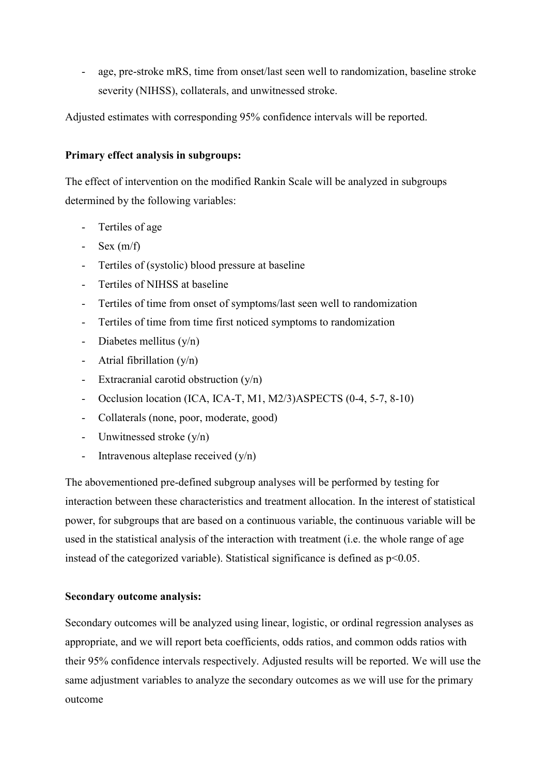age, pre-stroke mRS, time from onset/last seen well to randomization, baseline stroke severity (NIHSS), collaterals, and unwitnessed stroke.

Adjusted estimates with corresponding 95% confidence intervals will be reported.

## **Primary effect analysis in subgroups:**

The effect of intervention on the modified Rankin Scale will be analyzed in subgroups determined by the following variables:

- Tertiles of age
- Sex  $(m/f)$
- Tertiles of (systolic) blood pressure at baseline
- Tertiles of NIHSS at baseline
- Tertiles of time from onset of symptoms/last seen well to randomization
- Tertiles of time from time first noticed symptoms to randomization
- Diabetes mellitus  $(y/n)$
- Atrial fibrillation  $(y/n)$
- Extracranial carotid obstruction  $(v/n)$
- Occlusion location (ICA, ICA-T, M1, M2/3)ASPECTS (0-4, 5-7, 8-10)
- Collaterals (none, poor, moderate, good)
- Unwitnessed stroke (y/n)
- Intravenous alteplase received  $(y/n)$

The abovementioned pre-defined subgroup analyses will be performed by testing for interaction between these characteristics and treatment allocation. In the interest of statistical power, for subgroups that are based on a continuous variable, the continuous variable will be used in the statistical analysis of the interaction with treatment (i.e. the whole range of age instead of the categorized variable). Statistical significance is defined as  $p<0.05$ .

# **Secondary outcome analysis:**

Secondary outcomes will be analyzed using linear, logistic, or ordinal regression analyses as appropriate, and we will report beta coefficients, odds ratios, and common odds ratios with their 95% confidence intervals respectively. Adjusted results will be reported. We will use the same adjustment variables to analyze the secondary outcomes as we will use for the primary outcome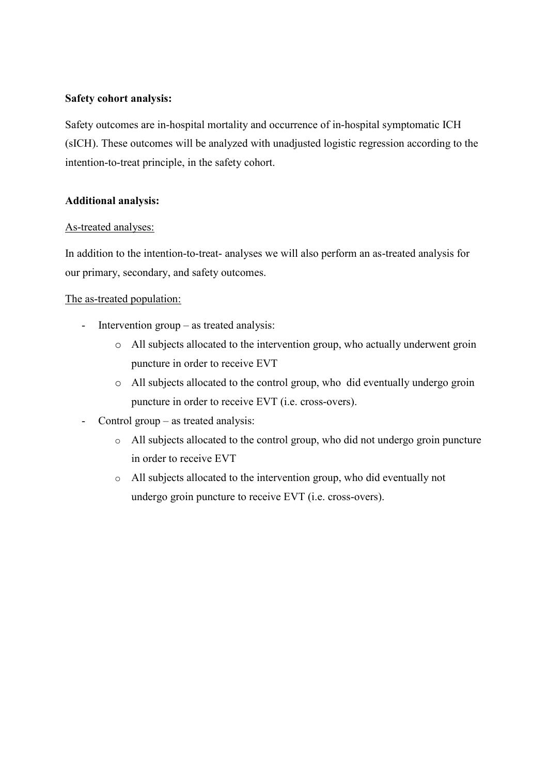### **Safety cohort analysis:**

Safety outcomes are in-hospital mortality and occurrence of in-hospital symptomatic ICH (sICH). These outcomes will be analyzed with unadjusted logistic regression according to the intention-to-treat principle, in the safety cohort.

## **Additional analysis:**

## As-treated analyses:

In addition to the intention-to-treat- analyses we will also perform an as-treated analysis for our primary, secondary, and safety outcomes.

## The as-treated population:

- Intervention group as treated analysis:
	- o All subjects allocated to the intervention group, who actually underwent groin puncture in order to receive EVT
	- o All subjects allocated to the control group, who did eventually undergo groin puncture in order to receive EVT (i.e. cross-overs).
- Control group as treated analysis:
	- o All subjects allocated to the control group, who did not undergo groin puncture in order to receive EVT
	- o All subjects allocated to the intervention group, who did eventually not undergo groin puncture to receive EVT (i.e. cross-overs).